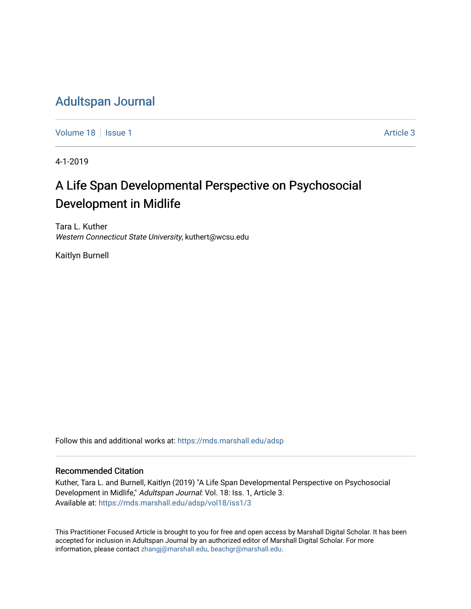# [Adultspan Journal](https://mds.marshall.edu/adsp)

[Volume 18](https://mds.marshall.edu/adsp/vol18) | [Issue 1](https://mds.marshall.edu/adsp/vol18/iss1) Article 3

4-1-2019

# A Life Span Developmental Perspective on Psychosocial Development in Midlife

Tara L. Kuther Western Connecticut State University, kuthert@wcsu.edu

Kaitlyn Burnell

Follow this and additional works at: [https://mds.marshall.edu/adsp](https://mds.marshall.edu/adsp?utm_source=mds.marshall.edu%2Fadsp%2Fvol18%2Fiss1%2F3&utm_medium=PDF&utm_campaign=PDFCoverPages) 

#### Recommended Citation

Kuther, Tara L. and Burnell, Kaitlyn (2019) "A Life Span Developmental Perspective on Psychosocial Development in Midlife," Adultspan Journal: Vol. 18: Iss. 1, Article 3. Available at: [https://mds.marshall.edu/adsp/vol18/iss1/3](https://mds.marshall.edu/adsp/vol18/iss1/3?utm_source=mds.marshall.edu%2Fadsp%2Fvol18%2Fiss1%2F3&utm_medium=PDF&utm_campaign=PDFCoverPages) 

This Practitioner Focused Article is brought to you for free and open access by Marshall Digital Scholar. It has been accepted for inclusion in Adultspan Journal by an authorized editor of Marshall Digital Scholar. For more information, please contact [zhangj@marshall.edu, beachgr@marshall.edu](mailto:zhangj@marshall.edu,%20beachgr@marshall.edu).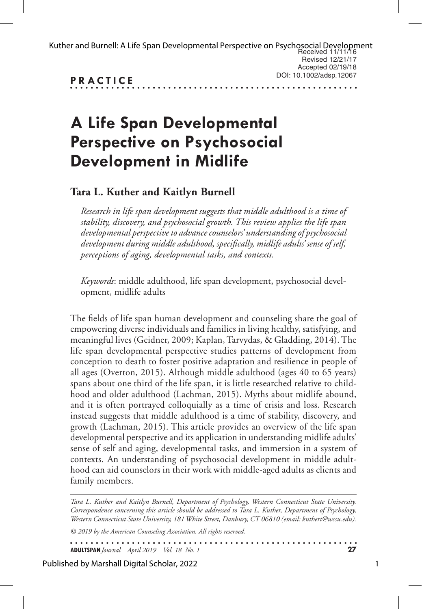|                  | Kuther and Burnell: A Life Span Developmental Perspective on Psychosocial Development<br>Received 11/11/16 |
|------------------|------------------------------------------------------------------------------------------------------------|
|                  | Revised 12/21/17                                                                                           |
|                  | Accepted $02/19/18$                                                                                        |
| <b>DD ACTICE</b> | DOI: 10.1002/adsp.12067                                                                                    |

**PRACTICE**

# **A Life Span Developmental Perspective on Psychosocial Development in Midlife**

# **Tara L. Kuther and Kaitlyn Burnell**

*Research in life span development suggests that middle adulthood is a time of stability, discovery, and psychosocial growth. This review applies the life span developmental perspective to advance counselors' understanding of psychosocial development during middle adulthood, specifically, midlife adults' sense of self, perceptions of aging, developmental tasks, and contexts.* 

*Keywords*: middle adulthood, life span development, psychosocial development, midlife adults

The fields of life span human development and counseling share the goal of empowering diverse individuals and families in living healthy, satisfying, and meaningful lives (Geidner, 2009; Kaplan, Tarvydas, & Gladding, 2014). The life span developmental perspective studies patterns of development from conception to death to foster positive adaptation and resilience in people of all ages (Overton, 2015). Although middle adulthood (ages 40 to 65 years) spans about one third of the life span, it is little researched relative to childhood and older adulthood (Lachman, 2015). Myths about midlife abound, and it is often portrayed colloquially as a time of crisis and loss. Research instead suggests that middle adulthood is a time of stability, discovery, and growth (Lachman, 2015). This article provides an overview of the life span developmental perspective and its application in understanding midlife adults' sense of self and aging, developmental tasks, and immersion in a system of contexts. An understanding of psychosocial development in middle adulthood can aid counselors in their work with middle-aged adults as clients and family members.

*Tara L. Kuther and Kaitlyn Burnell, Department of Psychology, Western Connecticut State University. Correspondence concerning this article should be addressed to Tara L. Kuther, Department of Psychology, Western Connecticut State University, 181 White Street, Danbury, CT 06810 (email: kuthert@wcsu.edu).*

. . . . . . . .

*© 2019 by the American Counseling Association. All rights reserved.*

**ADULTSPAN***Journal April 2019 Vol. 18 No. 1* **27**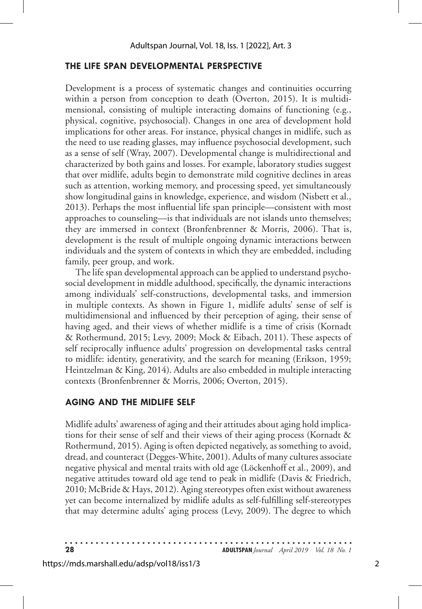### **THE LIFE SPAN DEVELOPMENTAL PERSPECTIVE**

Development is a process of systematic changes and continuities occurring within a person from conception to death (Overton, 2015). It is multidimensional, consisting of multiple interacting domains of functioning (e.g., physical, cognitive, psychosocial). Changes in one area of development hold implications for other areas. For instance, physical changes in midlife, such as the need to use reading glasses, may influence psychosocial development, such as a sense of self (Wray, 2007). Developmental change is multidirectional and characterized by both gains and losses. For example, laboratory studies suggest that over midlife, adults begin to demonstrate mild cognitive declines in areas such as attention, working memory, and processing speed, yet simultaneously show longitudinal gains in knowledge, experience, and wisdom (Nisbett et al., 2013). Perhaps the most influential life span principle—consistent with most approaches to counseling—is that individuals are not islands unto themselves; they are immersed in context (Bronfenbrenner & Morris, 2006). That is, development is the result of multiple ongoing dynamic interactions between individuals and the system of contexts in which they are embedded, including family, peer group, and work.

The life span developmental approach can be applied to understand psychosocial development in middle adulthood, specifically, the dynamic interactions among individuals' self-constructions, developmental tasks, and immersion in multiple contexts. As shown in Figure 1, midlife adults' sense of self is multidimensional and influenced by their perception of aging, their sense of having aged, and their views of whether midlife is a time of crisis (Kornadt & Rothermund, 2015; Levy, 2009; Mock & Eibach, 2011). These aspects of self reciprocally influence adults' progression on developmental tasks central to midlife: identity, generativity, and the search for meaning (Erikson, 1959; Heintzelman & King, 2014). Adults are also embedded in multiple interacting contexts (Bronfenbrenner & Morris, 2006; Overton, 2015).

### **AGING AND THE MIDLIFE SELF**

Midlife adults' awareness of aging and their attitudes about aging hold implications for their sense of self and their views of their aging process (Kornadt & Rothermund, 2015). Aging is often depicted negatively, as something to avoid, dread, and counteract (Degges-White, 2001). Adults of many cultures associate negative physical and mental traits with old age (Löckenhoff et al., 2009), and negative attitudes toward old age tend to peak in midlife (Davis & Friedrich, 2010; McBride & Hays, 2012). Aging stereotypes often exist without awareness yet can become internalized by midlife adults as self-fulfilling self-stereotypes that may determine adults' aging process (Levy, 2009). The degree to which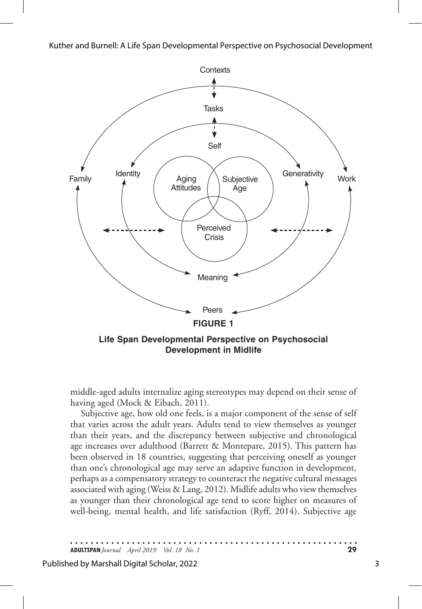

middle-aged adults internalize aging stereotypes may depend on their sense of having aged (Mock & Eibach, 2011).

Subjective age, how old one feels, is a major component of the sense of self that varies across the adult years. Adults tend to view themselves as younger than their years, and the discrepancy between subjective and chronological age increases over adulthood (Barrett & Montepare, 2015). This pattern has been observed in 18 countries, suggesting that perceiving oneself as younger than one's chronological age may serve an adaptive function in development, perhaps as a compensatory strategy to counteract the negative cultural messages associated with aging (Weiss & Lang, 2012). Midlife adults who view themselves as younger than their chronological age tend to score higher on measures of well-being, mental health, and life satisfaction (Ryff, 2014). Subjective age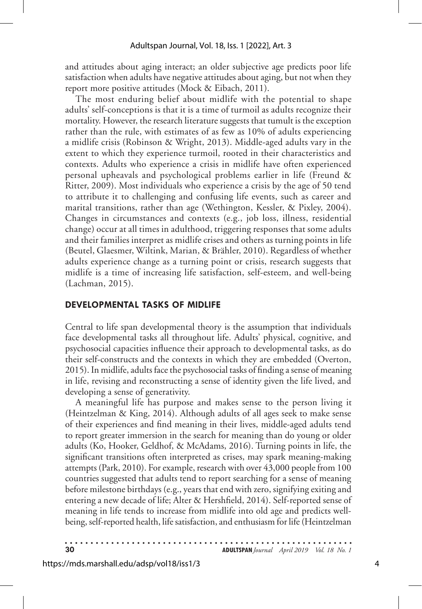and attitudes about aging interact; an older subjective age predicts poor life satisfaction when adults have negative attitudes about aging, but not when they report more positive attitudes (Mock & Eibach, 2011).

The most enduring belief about midlife with the potential to shape adults' self-conceptions is that it is a time of turmoil as adults recognize their mortality. However, the research literature suggests that tumult is the exception rather than the rule, with estimates of as few as 10% of adults experiencing a midlife crisis (Robinson & Wright, 2013). Middle-aged adults vary in the extent to which they experience turmoil, rooted in their characteristics and contexts. Adults who experience a crisis in midlife have often experienced personal upheavals and psychological problems earlier in life (Freund & Ritter, 2009). Most individuals who experience a crisis by the age of 50 tend to attribute it to challenging and confusing life events, such as career and marital transitions, rather than age (Wethington, Kessler, & Pixley, 2004). Changes in circumstances and contexts (e.g., job loss, illness, residential change) occur at all times in adulthood, triggering responses that some adults and their families interpret as midlife crises and others as turning points in life (Beutel, Glaesmer, Wiltink, Marian, & Brähler, 2010). Regardless of whether adults experience change as a turning point or crisis, research suggests that midlife is a time of increasing life satisfaction, self-esteem, and well-being (Lachman, 2015).

#### **DEVELOPMENTAL TASKS OF MIDLIFE**

Central to life span developmental theory is the assumption that individuals face developmental tasks all throughout life. Adults' physical, cognitive, and psychosocial capacities influence their approach to developmental tasks, as do their self-constructs and the contexts in which they are embedded (Overton, 2015). In midlife, adults face the psychosocial tasks of finding a sense of meaning in life, revising and reconstructing a sense of identity given the life lived, and developing a sense of generativity.

A meaningful life has purpose and makes sense to the person living it (Heintzelman & King, 2014). Although adults of all ages seek to make sense of their experiences and find meaning in their lives, middle-aged adults tend to report greater immersion in the search for meaning than do young or older adults (Ko, Hooker, Geldhof, & McAdams, 2016). Turning points in life, the significant transitions often interpreted as crises, may spark meaning-making attempts (Park, 2010). For example, research with over 43,000 people from 100 countries suggested that adults tend to report searching for a sense of meaning before milestone birthdays (e.g., years that end with zero, signifying exiting and entering a new decade of life; Alter & Hershfield, 2014). Self-reported sense of meaning in life tends to increase from midlife into old age and predicts wellbeing, self-reported health, life satisfaction, and enthusiasm for life (Heintzelman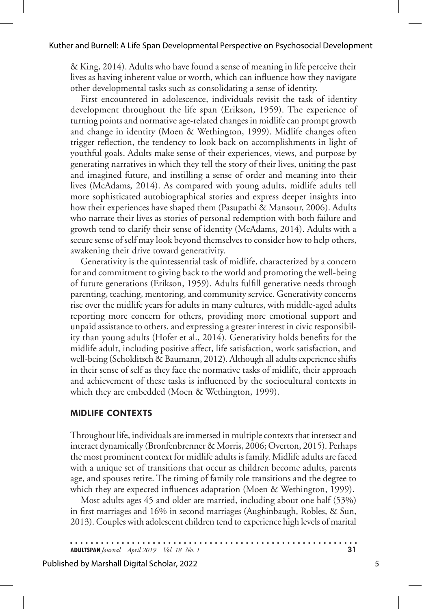& King, 2014). Adults who have found a sense of meaning in life perceive their lives as having inherent value or worth, which can influence how they navigate other developmental tasks such as consolidating a sense of identity.

First encountered in adolescence, individuals revisit the task of identity development throughout the life span (Erikson, 1959). The experience of turning points and normative age-related changes in midlife can prompt growth and change in identity (Moen & Wethington, 1999). Midlife changes often trigger reflection, the tendency to look back on accomplishments in light of youthful goals. Adults make sense of their experiences, views, and purpose by generating narratives in which they tell the story of their lives, uniting the past and imagined future, and instilling a sense of order and meaning into their lives (McAdams, 2014). As compared with young adults, midlife adults tell more sophisticated autobiographical stories and express deeper insights into how their experiences have shaped them (Pasupathi & Mansour, 2006). Adults who narrate their lives as stories of personal redemption with both failure and growth tend to clarify their sense of identity (McAdams, 2014). Adults with a secure sense of self may look beyond themselves to consider how to help others, awakening their drive toward generativity.

Generativity is the quintessential task of midlife, characterized by a concern for and commitment to giving back to the world and promoting the well-being of future generations (Erikson, 1959). Adults fulfill generative needs through parenting, teaching, mentoring, and community service. Generativity concerns rise over the midlife years for adults in many cultures, with middle-aged adults reporting more concern for others, providing more emotional support and unpaid assistance to others, and expressing a greater interest in civic responsibility than young adults (Hofer et al., 2014). Generativity holds benefits for the midlife adult, including positive affect, life satisfaction, work satisfaction, and well-being (Schoklitsch & Baumann, 2012). Although all adults experience shifts in their sense of self as they face the normative tasks of midlife, their approach and achievement of these tasks is influenced by the sociocultural contexts in which they are embedded (Moen & Wethington, 1999).

#### **MIDLIFE CONTEXTS**

Throughout life, individuals are immersed in multiple contexts that intersect and interact dynamically (Bronfenbrenner & Morris, 2006; Overton, 2015). Perhaps the most prominent context for midlife adults is family. Midlife adults are faced with a unique set of transitions that occur as children become adults, parents age, and spouses retire. The timing of family role transitions and the degree to which they are expected influences adaptation (Moen & Wethington, 1999).

Most adults ages 45 and older are married, including about one half (53%) in first marriages and 16% in second marriages (Aughinbaugh, Robles, & Sun, 2013). Couples with adolescent children tend to experience high levels of marital

**ADULTSPAN***Journal April 2019 Vol. 18 No. 1* **31**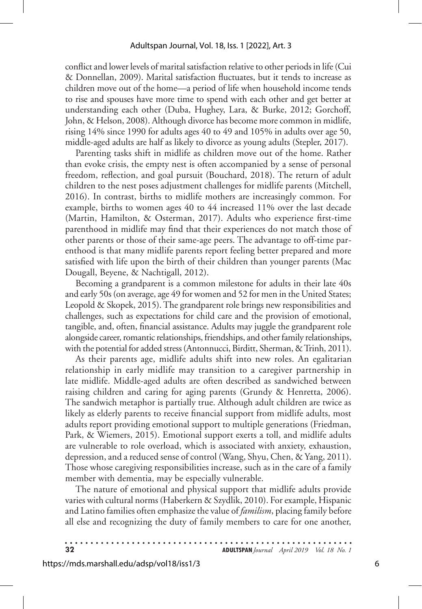conflict and lower levels of marital satisfaction relative to other periods in life (Cui & Donnellan, 2009). Marital satisfaction fluctuates, but it tends to increase as children move out of the home—a period of life when household income tends to rise and spouses have more time to spend with each other and get better at understanding each other (Duba, Hughey, Lara, & Burke, 2012; Gorchoff, John, & Helson, 2008). Although divorce has become more common in midlife, rising 14% since 1990 for adults ages 40 to 49 and 105% in adults over age 50, middle-aged adults are half as likely to divorce as young adults (Stepler, 2017).

Parenting tasks shift in midlife as children move out of the home. Rather than evoke crisis, the empty nest is often accompanied by a sense of personal freedom, reflection, and goal pursuit (Bouchard, 2018). The return of adult children to the nest poses adjustment challenges for midlife parents (Mitchell, 2016). In contrast, births to midlife mothers are increasingly common. For example, births to women ages 40 to 44 increased 11% over the last decade (Martin, Hamilton, & Osterman, 2017). Adults who experience first-time parenthood in midlife may find that their experiences do not match those of other parents or those of their same-age peers. The advantage to off-time parenthood is that many midlife parents report feeling better prepared and more satisfied with life upon the birth of their children than younger parents (Mac Dougall, Beyene, & Nachtigall, 2012).

Becoming a grandparent is a common milestone for adults in their late 40s and early 50s (on average, age 49 for women and 52 for men in the United States; Leopold & Skopek, 2015). The grandparent role brings new responsibilities and challenges, such as expectations for child care and the provision of emotional, tangible, and, often, financial assistance. Adults may juggle the grandparent role alongside career, romantic relationships, friendships, and other family relationships, with the potential for added stress (Antonnucci, Birditt, Sherman, & Trinh, 2011).

As their parents age, midlife adults shift into new roles. An egalitarian relationship in early midlife may transition to a caregiver partnership in late midlife. Middle-aged adults are often described as sandwiched between raising children and caring for aging parents (Grundy & Henretta, 2006). The sandwich metaphor is partially true. Although adult children are twice as likely as elderly parents to receive financial support from midlife adults, most adults report providing emotional support to multiple generations (Friedman, Park, & Wiemers, 2015). Emotional support exerts a toll, and midlife adults are vulnerable to role overload, which is associated with anxiety, exhaustion, depression, and a reduced sense of control (Wang, Shyu, Chen, & Yang, 2011). Those whose caregiving responsibilities increase, such as in the care of a family member with dementia, may be especially vulnerable.

The nature of emotional and physical support that midlife adults provide varies with cultural norms (Haberkern & Szydlik, 2010). For example, Hispanic and Latino families often emphasize the value of *familism*, placing family before all else and recognizing the duty of family members to care for one another,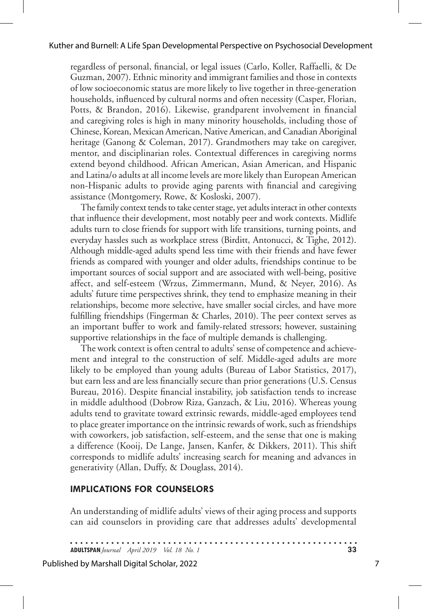regardless of personal, financial, or legal issues (Carlo, Koller, Raffaelli, & De Guzman, 2007). Ethnic minority and immigrant families and those in contexts of low socioeconomic status are more likely to live together in three-generation households, influenced by cultural norms and often necessity (Casper, Florian, Potts, & Brandon, 2016). Likewise, grandparent involvement in financial and caregiving roles is high in many minority households, including those of Chinese, Korean, Mexican American, Native American, and Canadian Aboriginal heritage (Ganong & Coleman, 2017). Grandmothers may take on caregiver, mentor, and disciplinarian roles. Contextual differences in caregiving norms extend beyond childhood. African American, Asian American, and Hispanic and Latina/o adults at all income levels are more likely than European American non-Hispanic adults to provide aging parents with financial and caregiving assistance (Montgomery, Rowe, & Kosloski, 2007).

The family context tends to take center stage, yet adults interact in other contexts that influence their development, most notably peer and work contexts. Midlife adults turn to close friends for support with life transitions, turning points, and everyday hassles such as workplace stress (Birditt, Antonucci, & Tighe, 2012). Although middle-aged adults spend less time with their friends and have fewer friends as compared with younger and older adults, friendships continue to be important sources of social support and are associated with well-being, positive affect, and self-esteem (Wrzus, Zimmermann, Mund, & Neyer, 2016). As adults' future time perspectives shrink, they tend to emphasize meaning in their relationships, become more selective, have smaller social circles, and have more fulfilling friendships (Fingerman & Charles, 2010). The peer context serves as an important buffer to work and family-related stressors; however, sustaining supportive relationships in the face of multiple demands is challenging.

The work context is often central to adults' sense of competence and achievement and integral to the construction of self. Middle-aged adults are more likely to be employed than young adults (Bureau of Labor Statistics, 2017), but earn less and are less financially secure than prior generations (U.S. Census Bureau, 2016). Despite financial instability, job satisfaction tends to increase in middle adulthood (Dobrow Riza, Ganzach, & Liu, 2016). Whereas young adults tend to gravitate toward extrinsic rewards, middle-aged employees tend to place greater importance on the intrinsic rewards of work, such as friendships with coworkers, job satisfaction, self-esteem, and the sense that one is making a difference (Kooij, De Lange, Jansen, Kanfer, & Dikkers, 2011). This shift corresponds to midlife adults' increasing search for meaning and advances in generativity (Allan, Duffy, & Douglass, 2014).

#### **IMPLICATIONS FOR COUNSELORS**

An understanding of midlife adults' views of their aging process and supports can aid counselors in providing care that addresses adults' developmental

**ADULTSPAN***Journal April 2019 Vol. 18 No. 1* **33**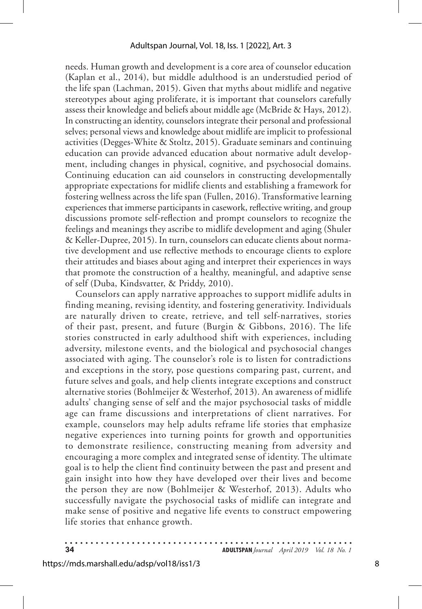needs. Human growth and development is a core area of counselor education (Kaplan et al., 2014), but middle adulthood is an understudied period of the life span (Lachman, 2015). Given that myths about midlife and negative stereotypes about aging proliferate, it is important that counselors carefully assess their knowledge and beliefs about middle age (McBride & Hays, 2012). In constructing an identity, counselors integrate their personal and professional selves; personal views and knowledge about midlife are implicit to professional activities (Degges-White & Stoltz, 2015). Graduate seminars and continuing education can provide advanced education about normative adult development, including changes in physical, cognitive, and psychosocial domains. Continuing education can aid counselors in constructing developmentally appropriate expectations for midlife clients and establishing a framework for fostering wellness across the life span (Fullen, 2016). Transformative learning experiences that immerse participants in casework, reflective writing, and group discussions promote self-reflection and prompt counselors to recognize the feelings and meanings they ascribe to midlife development and aging (Shuler & Keller-Dupree, 2015). In turn, counselors can educate clients about normative development and use reflective methods to encourage clients to explore their attitudes and biases about aging and interpret their experiences in ways that promote the construction of a healthy, meaningful, and adaptive sense of self (Duba, Kindsvatter, & Priddy, 2010).

Counselors can apply narrative approaches to support midlife adults in finding meaning, revising identity, and fostering generativity. Individuals are naturally driven to create, retrieve, and tell self-narratives, stories of their past, present, and future (Burgin & Gibbons, 2016). The life stories constructed in early adulthood shift with experiences, including adversity, milestone events, and the biological and psychosocial changes associated with aging. The counselor's role is to listen for contradictions and exceptions in the story, pose questions comparing past, current, and future selves and goals, and help clients integrate exceptions and construct alternative stories (Bohlmeijer & Westerhof, 2013). An awareness of midlife adults' changing sense of self and the major psychosocial tasks of middle age can frame discussions and interpretations of client narratives. For example, counselors may help adults reframe life stories that emphasize negative experiences into turning points for growth and opportunities to demonstrate resilience, constructing meaning from adversity and encouraging a more complex and integrated sense of identity. The ultimate goal is to help the client find continuity between the past and present and gain insight into how they have developed over their lives and become the person they are now (Bohlmeijer & Westerhof, 2013). Adults who successfully navigate the psychosocial tasks of midlife can integrate and make sense of positive and negative life events to construct empowering life stories that enhance growth.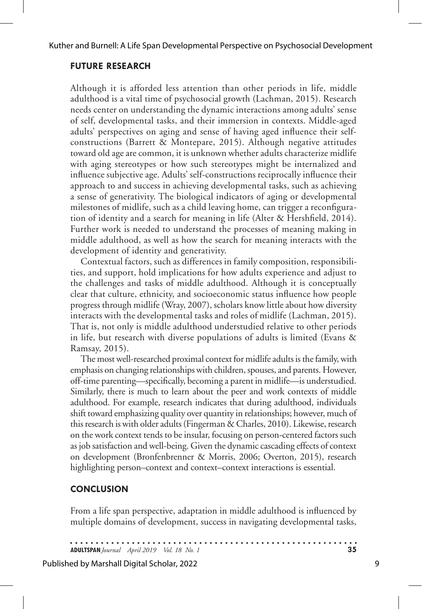### **FUTURE RESEARCH**

Although it is afforded less attention than other periods in life, middle adulthood is a vital time of psychosocial growth (Lachman, 2015). Research needs center on understanding the dynamic interactions among adults' sense of self, developmental tasks, and their immersion in contexts. Middle-aged adults' perspectives on aging and sense of having aged influence their selfconstructions (Barrett & Montepare, 2015). Although negative attitudes toward old age are common, it is unknown whether adults characterize midlife with aging stereotypes or how such stereotypes might be internalized and influence subjective age. Adults' self-constructions reciprocally influence their approach to and success in achieving developmental tasks, such as achieving a sense of generativity. The biological indicators of aging or developmental milestones of midlife, such as a child leaving home, can trigger a reconfiguration of identity and a search for meaning in life (Alter & Hershfield, 2014). Further work is needed to understand the processes of meaning making in middle adulthood, as well as how the search for meaning interacts with the development of identity and generativity.

Contextual factors, such as differences in family composition, responsibilities, and support, hold implications for how adults experience and adjust to the challenges and tasks of middle adulthood. Although it is conceptually clear that culture, ethnicity, and socioeconomic status influence how people progress through midlife (Wray, 2007), scholars know little about how diversity interacts with the developmental tasks and roles of midlife (Lachman, 2015). That is, not only is middle adulthood understudied relative to other periods in life, but research with diverse populations of adults is limited (Evans & Ramsay, 2015).

The most well-researched proximal context for midlife adults is the family, with emphasis on changing relationships with children, spouses, and parents. However, off-time parenting—specifically, becoming a parent in midlife—is understudied. Similarly, there is much to learn about the peer and work contexts of middle adulthood. For example, research indicates that during adulthood, individuals shift toward emphasizing quality over quantity in relationships; however, much of this research is with older adults (Fingerman & Charles, 2010). Likewise, research on the work context tends to be insular, focusing on person-centered factors such as job satisfaction and well-being. Given the dynamic cascading effects of context on development (Bronfenbrenner & Morris, 2006; Overton, 2015), research highlighting person–context and context–context interactions is essential.

# **CONCLUSION**

From a life span perspective, adaptation in middle adulthood is influenced by multiple domains of development, success in navigating developmental tasks,

**ADULTSPAN***Journal April 2019 Vol. 18 No. 1* **35**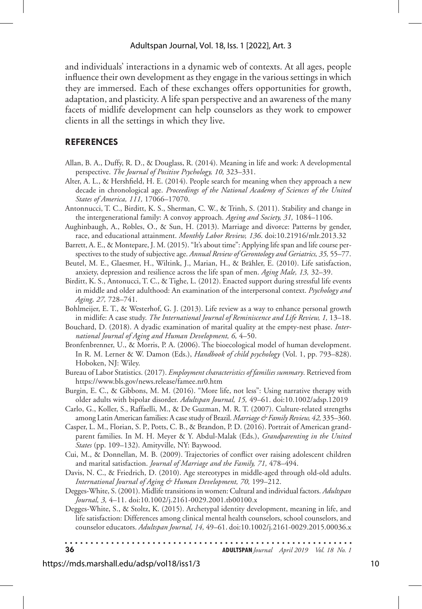and individuals' interactions in a dynamic web of contexts. At all ages, people influence their own development as they engage in the various settings in which they are immersed. Each of these exchanges offers opportunities for growth, adaptation, and plasticity. A life span perspective and an awareness of the many facets of midlife development can help counselors as they work to empower clients in all the settings in which they live.

#### **REFERENCES**

- Allan, B. A., Duffy, R. D., & Douglass, R. (2014). Meaning in life and work: A developmental perspective. *The Journal of Positive Psychology, 10,* 323–331.
- Alter, A. L., & Hershfield, H. E. (2014). People search for meaning when they approach a new decade in chronological age. *Proceedings of the National Academy of Sciences of the United States of America, 111,* 17066–17070.
- Antonnucci, T. C., Birditt, K. S., Sherman, C. W., & Trinh, S. (2011). Stability and change in the intergenerational family: A convoy approach. *Ageing and Society, 31,* 1084–1106.
- Aughinbaugh, A., Robles, O., & Sun, H. (2013). Marriage and divorce: Patterns by gender, race, and educational attainment. *Monthly Labor Review, 136*. doi:10.21916/mlr.2013.32
- Barrett, A. E., & Montepare, J. M. (2015). "It's about time": Applying life span and life course perspectives to the study of subjective age. *Annual Review of Gerontology and Geriatrics, 35,* 55–77.
- Beutel, M. E., Glaesmer, H., Wiltink, J., Marian, H., & Brähler, E. (2010). Life satisfaction, anxiety, depression and resilience across the life span of men. *Aging Male, 13,* 32–39.
- Birditt, K. S., Antonucci, T. C., & Tighe, L. (2012). Enacted support during stressful life events in middle and older adulthood: An examination of the interpersonal context. *Psychology and Aging, 27,* 728–741.
- Bohlmeijer, E. T., & Westerhof, G. J. (2013). Life review as a way to enhance personal growth in midlife: A case study. *The International Journal of Reminiscence and Life Review, 1,* 13–18.
- Bouchard, D. (2018). A dyadic examination of marital quality at the empty-nest phase. *International Journal of Aging and Human Development, 6,* 4–50.
- Bronfenbrenner, U., & Morris, P. A. (2006). The bioecological model of human development. In R. M. Lerner & W. Damon (Eds.), *Handbook of child psychology* (Vol. 1, pp. 793–828). Hoboken, NJ: Wiley.
- Bureau of Labor Statistics. (2017). *Employment characteristics of families summary*. Retrieved from https://www.bls.gov/news.release/famee.nr0.htm
- Burgin, E. C., & Gibbons, M. M. (2016). "More life, not less": Using narrative therapy with older adults with bipolar disorder. *Adultspan Journal, 15,* 49–61. doi:10.1002/adsp.12019
- Carlo, G., Koller, S., Raffaelli, M., & De Guzman, M. R. T. (2007). Culture-related strengths among Latin American families: A case study of Brazil. *Marriage & Family Review, 42,* 335–360.
- Casper, L. M., Florian, S. P., Potts, C. B., & Brandon, P. D. (2016). Portrait of American grandparent families. In M. H. Meyer & Y. Abdul-Malak (Eds.), *Grandparenting in the United States* (pp. 109–132). Amityville, NY: Baywood.
- Cui, M., & Donnellan, M. B. (2009). Trajectories of conflict over raising adolescent children and marital satisfaction. *Journal of Marriage and the Family, 71,* 478–494.
- Davis, N. C., & Friedrich, D. (2010). Age stereotypes in middle-aged through old-old adults. *International Journal of Aging & Human Development, 70,* 199–212.
- Degges-White, S. (2001). Midlife transitions in women: Cultural and individual factors. *Adultspan Journal, 3,* 4–11. doi:10.1002/j.2161-0029.2001.tb00100.x
- Degges-White, S., & Stoltz, K. (2015). Archetypal identity development, meaning in life, and life satisfaction: Differences among clinical mental health counselors, school counselors, and counselor educators. *Adultspan Journal, 14,* 49–61. doi:10.1002/j.2161-0029.2015.00036.x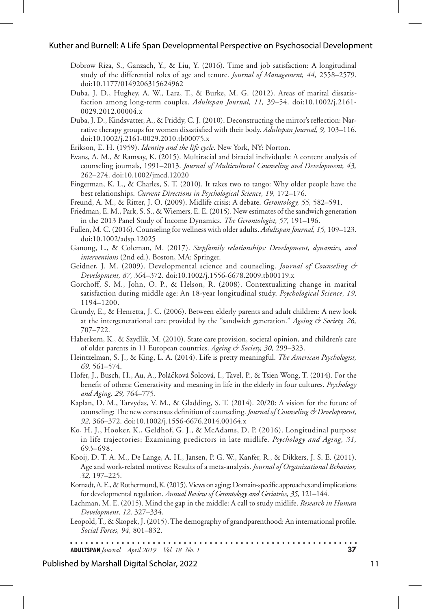- Dobrow Riza, S., Ganzach, Y., & Liu, Y. (2016). Time and job satisfaction: A longitudinal study of the differential roles of age and tenure. *Journal of Management, 44,* 2558–2579. doi:10.1177/0149206315624962
- Duba, J. D., Hughey, A. W., Lara, T., & Burke, M. G. (2012). Areas of marital dissatisfaction among long-term couples. *Adultspan Journal, 11,* 39–54. doi:10.1002/j.2161- 0029.2012.00004.x
- Duba, J. D., Kindsvatter, A., & Priddy, C. J. (2010). Deconstructing the mirror's reflection: Narrative therapy groups for women dissatisfied with their body. *Adultspan Journal, 9,* 103–116. doi:10.1002/j.2161-0029.2010.tb00075.x
- Erikson, E. H. (1959). *Identity and the life cycle*. New York, NY: Norton.
- Evans, A. M., & Ramsay, K. (2015). Multiracial and biracial individuals: A content analysis of counseling journals, 1991–2013. *Journal of Multicultural Counseling and Development, 43,* 262–274. doi:10.1002/jmcd.12020
- Fingerman, K. L., & Charles, S. T. (2010). It takes two to tango: Why older people have the best relationships. *Current Directions in Psychological Science, 19,* 172–176.
- Freund, A. M., & Ritter, J. O. (2009). Midlife crisis: A debate. *Gerontology, 55,* 582–591.
- Friedman, E. M., Park, S. S., & Wiemers, E. E. (2015). New estimates of the sandwich generation in the 2013 Panel Study of Income Dynamics. *The Gerontologist, 57,* 191–196.
- Fullen, M. C. (2016). Counseling for wellness with older adults. *Adultspan Journal, 15,* 109–123. doi:10.1002/adsp.12025
- Ganong, L., & Coleman, M. (2017). *Stepfamily relationships: Development, dynamics, and interventions* (2nd ed.). Boston, MA: Springer.
- Geidner, J. M. (2009). Developmental science and counseling. *Journal of Counseling & Development, 87,* 364–372. doi:10.1002/j.1556-6678.2009.tb00119.x
- Gorchoff, S. M., John, O. P., & Helson, R. (2008). Contextualizing change in marital satisfaction during middle age: An 18-year longitudinal study. *Psychological Science, 19,* 1194–1200.
- Grundy, E., & Henretta, J. C. (2006). Between elderly parents and adult children: A new look at the intergenerational care provided by the "sandwich generation." *Ageing & Society, 26,* 707–722.
- Haberkern, K., & Szydlik, M. (2010). State care provision, societal opinion, and children's care of older parents in 11 European countries. *Ageing & Society, 30,* 299–323.
- Heintzelman, S. J., & King, L. A. (2014). Life is pretty meaningful. *The American Psychologist, 69,* 561–574.
- Hofer, J., Busch, H., Au, A., Poláčková Šolcová, I., Tavel, P., & Tsien Wong, T. (2014). For the benefit of others: Generativity and meaning in life in the elderly in four cultures. *Psychology and Aging, 29,* 764–775.
- Kaplan, D. M., Tarvydas, V. M., & Gladding, S. T. (2014). 20/20: A vision for the future of counseling: The new consensus definition of counseling. *Journal of Counseling & Development, 92,* 366–372. doi:10.1002/j.1556-6676.2014.00164.x
- Ko, H. J., Hooker, K., Geldhof, G. J., & McAdams, D. P. (2016). Longitudinal purpose in life trajectories: Examining predictors in late midlife. *Psychology and Aging, 31,* 693–698.
- Kooij, D. T. A. M., De Lange, A. H., Jansen, P. G. W., Kanfer, R., & Dikkers, J. S. E. (2011). Age and work-related motives: Results of a meta-analysis. *Journal of Organizational Behavior, 32,* 197–225.
- Kornadt, A. E., & Rothermund, K. (2015). Views on aging: Domain-specific approaches and implications for developmental regulation. *Annual Review of Gerontology and Geriatrics, 35,* 121–144.
- Lachman, M. E. (2015). Mind the gap in the middle: A call to study midlife. *Research in Human Development, 12,* 327–334.
- Leopold, T., & Skopek, J. (2015). The demography of grandparenthood: An international profile. *Social Forces, 94,* 801–832.

. . . . . . . . . . . . . . . . .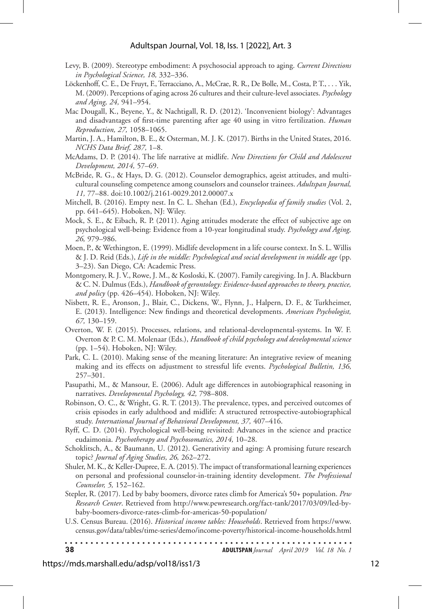- Levy, B. (2009). Stereotype embodiment: A psychosocial approach to aging. *Current Directions in Psychological Science, 18,* 332–336.
- Löckenhoff, C. E., De Fruyt, F., Terracciano, A., McCrae, R. R., De Bolle, M., Costa, P. T., . . . Yik, M. (2009). Perceptions of aging across 26 cultures and their culture-level associates. *Psychology and Aging, 24,* 941–954.
- Mac Dougall, K., Beyene, Y., & Nachtigall, R. D. (2012). 'Inconvenient biology': Advantages and disadvantages of first-time parenting after age 40 using in vitro fertilization. *Human Reproduction, 27,* 1058–1065.
- Martin, J. A., Hamilton, B. E., & Osterman, M. J. K. (2017). Births in the United States, 2016. *NCHS Data Brief, 287,* 1–8.
- McAdams, D. P. (2014). The life narrative at midlife. *New Directions for Child and Adolescent Development, 2014,* 57–69.
- McBride, R. G., & Hays, D. G. (2012). Counselor demographics, ageist attitudes, and multicultural counseling competence among counselors and counselor trainees. *Adultspan Journal, 11,* 77–88. doi:10.1002/j.2161-0029.2012.00007.x
- Mitchell, B. (2016). Empty nest. In C. L. Shehan (Ed.), *Encyclopedia of family studies* (Vol. 2, pp. 641–645). Hoboken, NJ: Wiley.
- Mock, S. E., & Eibach, R. P. (2011). Aging attitudes moderate the effect of subjective age on psychological well-being: Evidence from a 10-year longitudinal study. *Psychology and Aging, 26,* 979–986.
- Moen, P., & Wethington, E. (1999). Midlife development in a life course context. In S. L. Willis & J. D. Reid (Eds.), *Life in the middle: Psychological and social development in middle age* (pp. 3–23). San Diego, CA: Academic Press.
- Montgomery, R. J. V., Rowe, J. M., & Kosloski, K. (2007). Family caregiving. In J. A. Blackburn & C. N. Dulmus (Eds.), *Handbook of gerontology: Evidence-based approaches to theory, practice, and policy* (pp. 426–454). Hoboken, NJ: Wiley.
- Nisbett, R. E., Aronson, J., Blair, C., Dickens, W., Flynn, J., Halpern, D. F., & Turkheimer, E. (2013). Intelligence: New findings and theoretical developments. *American Psychologist, 67,* 130–159.
- Overton, W. F. (2015). Processes, relations, and relational-developmental-systems. In W. F. Overton & P. C. M. Molenaar (Eds.), *Handbook of child psychology and developmental science* (pp. 1–54). Hoboken, NJ: Wiley.
- Park, C. L. (2010). Making sense of the meaning literature: An integrative review of meaning making and its effects on adjustment to stressful life events. *Psychological Bulletin, 136,* 257–301.
- Pasupathi, M., & Mansour, E. (2006). Adult age differences in autobiographical reasoning in narratives. *Developmental Psychology, 42,* 798–808.
- Robinson, O. C., & Wright, G. R. T. (2013). The prevalence, types, and perceived outcomes of crisis episodes in early adulthood and midlife: A structured retrospective-autobiographical study. *International Journal of Behavioral Development, 37,* 407–416.
- Ryff, C. D. (2014). Psychological well-being revisited: Advances in the science and practice eudaimonia. *Psychotherapy and Psychosomatics, 2014,* 10–28.
- Schoklitsch, A., & Baumann, U. (2012). Generativity and aging: A promising future research topic? *Journal of Aging Studies, 26,* 262–272.
- Shuler, M. K., & Keller-Dupree, E. A. (2015). The impact of transformational learning experiences on personal and professional counselor-in-training identity development. *The Professional Counselor, 5,* 152–162.
- Stepler, R. (2017). Led by baby boomers, divorce rates climb for America's 50+ population. *Pew Research Center*. Retrieved from http://www.pewresearch.org/fact-tank/2017/03/09/led-bybaby-boomers-divorce-rates-climb-for-americas-50-population/
- U.S. Census Bureau. (2016). *Historical income tables: Households*. Retrieved from https://www. census.gov/data/tables/time-series/demo/income-poverty/historical-income-households.html